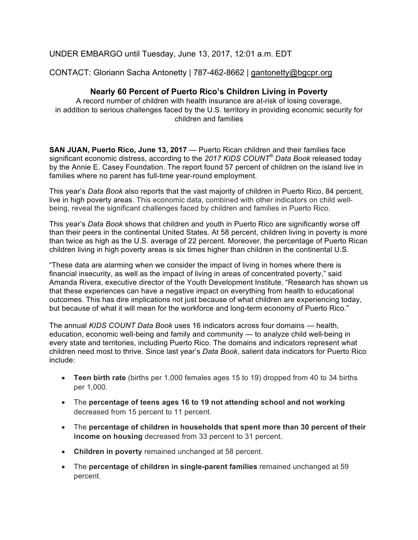# UNDER EMBARGO until Tuesday, June 13, 2017, 12:01 a.m. EDT

## CONTACT: Gloriann Sacha Antonetty | 787-462-8662 | gantonetty@bgcpr.org

### **Nearly 60 Percent of Puerto Rico's Children Living in Poverty**

A record number of children with health insurance are at-risk of losing coverage, in addition to serious challenges faced by the U.S. territory in providing economic security for children and families

**SAN JUAN, Puerto Rico, June 13, 2017** — Puerto Rican children and their families face significant economic distress, according to the *2017 KIDS COUNT® Data Book* released today by the Annie E. Casey Foundation. The report found 57 percent of children on the island live in families where no parent has full-time year-round employment.

This year's *Data Book* also reports that the vast majority of children in Puerto Rico, 84 percent, live in high poverty areas. This economic data, combined with other indicators on child wellbeing, reveal the significant challenges faced by children and families in Puerto Rico.

This year's *Data Book* shows that children and youth in Puerto Rico are significantly worse off than their peers in the continental United States. At 58 percent, children living in poverty is more than twice as high as the U.S. average of 22 percent. Moreover, the percentage of Puerto Rican children living in high poverty areas is six times higher than children in the continental U.S.

"These data are alarming when we consider the impact of living in homes where there is financial insecurity, as well as the impact of living in areas of concentrated poverty," said Amanda Rivera, executive director of the Youth Development Institute. "Research has shown us that these experiences can have a negative impact on everything from health to educational outcomes. This has dire implications not just because of what children are experiencing today, but because of what it will mean for the workforce and long-term economy of Puerto Rico."

The annual *KIDS COUNT Data Book* uses 16 indicators across four domains — health, education, economic well-being and family and community — to analyze child well-being in every state and territories, including Puerto Rico. The domains and indicators represent what children need most to thrive. Since last year's *Data Book*, salient data indicators for Puerto Rico include:

- **Teen birth rate** (births per 1,000 females ages 15 to 19) dropped from 40 to 34 births per 1,000.
- The **percentage of teens ages 16 to 19 not attending school and not working** decreased from 15 percent to 11 percent.
- The **percentage of children in households that spent more than 30 percent of their income on housing** decreased from 33 percent to 31 percent.
- **Children in poverty** remained unchanged at 58 percent.
- The **percentage of children in single-parent families** remained unchanged at 59 percent.